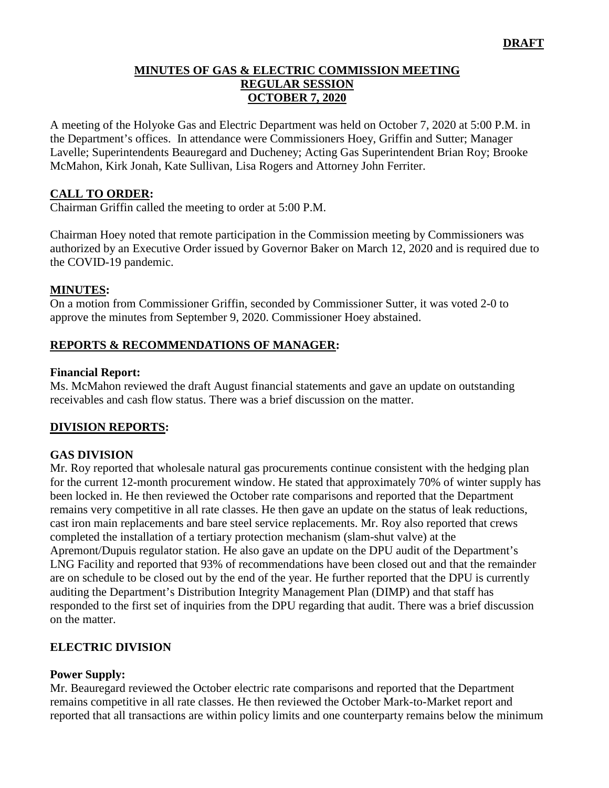### **MINUTES OF GAS & ELECTRIC COMMISSION MEETING REGULAR SESSION OCTOBER 7, 2020**

A meeting of the Holyoke Gas and Electric Department was held on October 7, 2020 at 5:00 P.M. in the Department's offices. In attendance were Commissioners Hoey, Griffin and Sutter; Manager Lavelle; Superintendents Beauregard and Ducheney; Acting Gas Superintendent Brian Roy; Brooke McMahon, Kirk Jonah, Kate Sullivan, Lisa Rogers and Attorney John Ferriter.

### **CALL TO ORDER:**

Chairman Griffin called the meeting to order at 5:00 P.M.

Chairman Hoey noted that remote participation in the Commission meeting by Commissioners was authorized by an Executive Order issued by Governor Baker on March 12, 2020 and is required due to the COVID-19 pandemic.

### **MINUTES:**

On a motion from Commissioner Griffin, seconded by Commissioner Sutter, it was voted 2-0 to approve the minutes from September 9, 2020. Commissioner Hoey abstained.

### **REPORTS & RECOMMENDATIONS OF MANAGER:**

#### **Financial Report:**

Ms. McMahon reviewed the draft August financial statements and gave an update on outstanding receivables and cash flow status. There was a brief discussion on the matter.

### **DIVISION REPORTS:**

### **GAS DIVISION**

Mr. Roy reported that wholesale natural gas procurements continue consistent with the hedging plan for the current 12-month procurement window. He stated that approximately 70% of winter supply has been locked in. He then reviewed the October rate comparisons and reported that the Department remains very competitive in all rate classes. He then gave an update on the status of leak reductions, cast iron main replacements and bare steel service replacements. Mr. Roy also reported that crews completed the installation of a tertiary protection mechanism (slam-shut valve) at the Apremont/Dupuis regulator station. He also gave an update on the DPU audit of the Department's LNG Facility and reported that 93% of recommendations have been closed out and that the remainder are on schedule to be closed out by the end of the year. He further reported that the DPU is currently auditing the Department's Distribution Integrity Management Plan (DIMP) and that staff has responded to the first set of inquiries from the DPU regarding that audit. There was a brief discussion on the matter.

### **ELECTRIC DIVISION**

#### **Power Supply:**

Mr. Beauregard reviewed the October electric rate comparisons and reported that the Department remains competitive in all rate classes. He then reviewed the October Mark-to-Market report and reported that all transactions are within policy limits and one counterparty remains below the minimum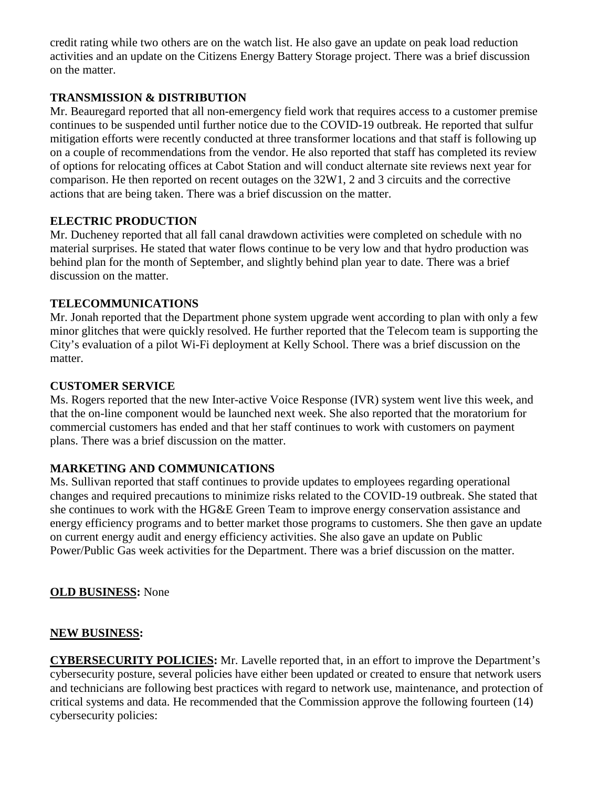credit rating while two others are on the watch list. He also gave an update on peak load reduction activities and an update on the Citizens Energy Battery Storage project. There was a brief discussion on the matter.

# **TRANSMISSION & DISTRIBUTION**

Mr. Beauregard reported that all non-emergency field work that requires access to a customer premise continues to be suspended until further notice due to the COVID-19 outbreak. He reported that sulfur mitigation efforts were recently conducted at three transformer locations and that staff is following up on a couple of recommendations from the vendor. He also reported that staff has completed its review of options for relocating offices at Cabot Station and will conduct alternate site reviews next year for comparison. He then reported on recent outages on the 32W1, 2 and 3 circuits and the corrective actions that are being taken. There was a brief discussion on the matter.

## **ELECTRIC PRODUCTION**

Mr. Ducheney reported that all fall canal drawdown activities were completed on schedule with no material surprises. He stated that water flows continue to be very low and that hydro production was behind plan for the month of September, and slightly behind plan year to date. There was a brief discussion on the matter.

## **TELECOMMUNICATIONS**

Mr. Jonah reported that the Department phone system upgrade went according to plan with only a few minor glitches that were quickly resolved. He further reported that the Telecom team is supporting the City's evaluation of a pilot Wi-Fi deployment at Kelly School. There was a brief discussion on the matter.

## **CUSTOMER SERVICE**

Ms. Rogers reported that the new Inter-active Voice Response (IVR) system went live this week, and that the on-line component would be launched next week. She also reported that the moratorium for commercial customers has ended and that her staff continues to work with customers on payment plans. There was a brief discussion on the matter.

# **MARKETING AND COMMUNICATIONS**

Ms. Sullivan reported that staff continues to provide updates to employees regarding operational changes and required precautions to minimize risks related to the COVID-19 outbreak. She stated that she continues to work with the HG&E Green Team to improve energy conservation assistance and energy efficiency programs and to better market those programs to customers. She then gave an update on current energy audit and energy efficiency activities. She also gave an update on Public Power/Public Gas week activities for the Department. There was a brief discussion on the matter.

### **OLD BUSINESS:** None

### **NEW BUSINESS:**

**CYBERSECURITY POLICIES:** Mr. Lavelle reported that, in an effort to improve the Department's cybersecurity posture, several policies have either been updated or created to ensure that network users and technicians are following best practices with regard to network use, maintenance, and protection of critical systems and data. He recommended that the Commission approve the following fourteen (14) cybersecurity policies: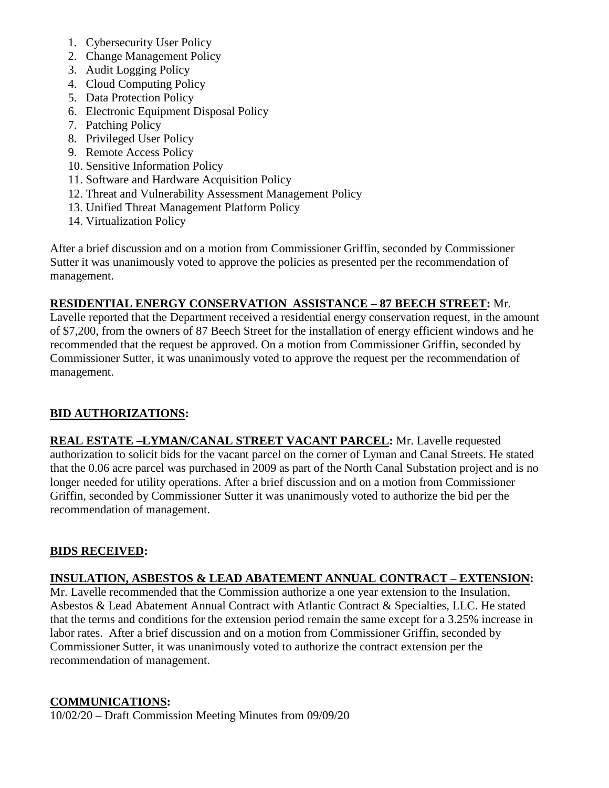- 1. Cybersecurity User Policy
- 2. Change Management Policy
- 3. Audit Logging Policy
- 4. Cloud Computing Policy
- 5. Data Protection Policy
- 6. Electronic Equipment Disposal Policy
- 7. Patching Policy
- 8. Privileged User Policy
- 9. Remote Access Policy
- 10. Sensitive Information Policy
- 11. Software and Hardware Acquisition Policy
- 12. Threat and Vulnerability Assessment Management Policy
- 13. Unified Threat Management Platform Policy
- 14. Virtualization Policy

After a brief discussion and on a motion from Commissioner Griffin, seconded by Commissioner Sutter it was unanimously voted to approve the policies as presented per the recommendation of management.

## **RESIDENTIAL ENERGY CONSERVATION ASSISTANCE – 87 BEECH STREET:** Mr.

Lavelle reported that the Department received a residential energy conservation request, in the amount of \$7,200, from the owners of 87 Beech Street for the installation of energy efficient windows and he recommended that the request be approved. On a motion from Commissioner Griffin, seconded by Commissioner Sutter, it was unanimously voted to approve the request per the recommendation of management.

# **BID AUTHORIZATIONS:**

**REAL ESTATE –LYMAN/CANAL STREET VACANT PARCEL:** Mr. Lavelle requested authorization to solicit bids for the vacant parcel on the corner of Lyman and Canal Streets. He stated that the 0.06 acre parcel was purchased in 2009 as part of the North Canal Substation project and is no longer needed for utility operations. After a brief discussion and on a motion from Commissioner Griffin, seconded by Commissioner Sutter it was unanimously voted to authorize the bid per the recommendation of management.

### **BIDS RECEIVED:**

# **INSULATION, ASBESTOS & LEAD ABATEMENT ANNUAL CONTRACT – EXTENSION:**

Mr. Lavelle recommended that the Commission authorize a one year extension to the Insulation, Asbestos & Lead Abatement Annual Contract with Atlantic Contract & Specialties, LLC. He stated that the terms and conditions for the extension period remain the same except for a 3.25% increase in labor rates. After a brief discussion and on a motion from Commissioner Griffin, seconded by Commissioner Sutter, it was unanimously voted to authorize the contract extension per the recommendation of management.

### **COMMUNICATIONS:**

10/02/20 – Draft Commission Meeting Minutes from 09/09/20